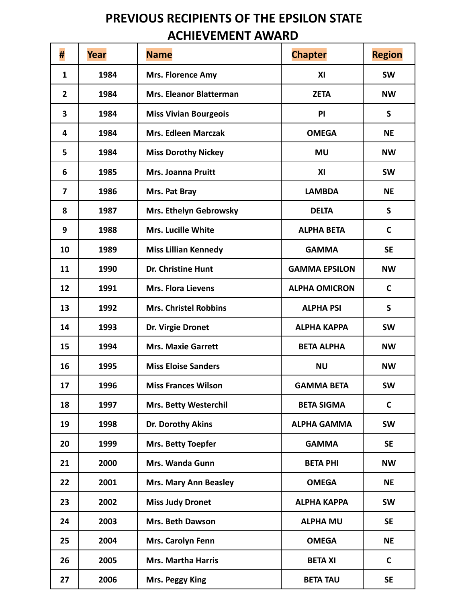## **PREVIOUS RECIPIENTS OF THE EPSILON STATE ACHIEVEMENT AWARD**

| #                       | Year | <b>Name</b>                  | <b>Chapter</b>       | <b>Region</b> |
|-------------------------|------|------------------------------|----------------------|---------------|
| 1                       | 1984 | <b>Mrs. Florence Amy</b>     | XI                   | <b>SW</b>     |
| $\mathbf{2}$            | 1984 | Mrs. Eleanor Blatterman      | <b>ZETA</b>          | <b>NW</b>     |
| 3                       | 1984 | <b>Miss Vivian Bourgeois</b> | PI                   | S             |
| 4                       | 1984 | <b>Mrs. Edleen Marczak</b>   | <b>OMEGA</b>         | <b>NE</b>     |
| 5                       | 1984 | <b>Miss Dorothy Nickey</b>   | <b>MU</b>            | <b>NW</b>     |
| 6                       | 1985 | <b>Mrs. Joanna Pruitt</b>    | XI                   | <b>SW</b>     |
| $\overline{\mathbf{z}}$ | 1986 | Mrs. Pat Bray                | <b>LAMBDA</b>        | <b>NE</b>     |
| 8                       | 1987 | Mrs. Ethelyn Gebrowsky       | <b>DELTA</b>         | $\mathsf{S}$  |
| 9                       | 1988 | <b>Mrs. Lucille White</b>    | <b>ALPHA BETA</b>    | C             |
| 10                      | 1989 | <b>Miss Lillian Kennedy</b>  | <b>GAMMA</b>         | <b>SE</b>     |
| 11                      | 1990 | Dr. Christine Hunt           | <b>GAMMA EPSILON</b> | <b>NW</b>     |
| 12                      | 1991 | <b>Mrs. Flora Lievens</b>    | <b>ALPHA OMICRON</b> | $\mathsf{C}$  |
| 13                      | 1992 | <b>Mrs. Christel Robbins</b> | <b>ALPHA PSI</b>     | $\mathsf{S}$  |
| 14                      | 1993 | Dr. Virgie Dronet            | <b>ALPHA KAPPA</b>   | <b>SW</b>     |
| 15                      | 1994 | <b>Mrs. Maxie Garrett</b>    | <b>BETA ALPHA</b>    | <b>NW</b>     |
| 16                      | 1995 | <b>Miss Eloise Sanders</b>   | <b>NU</b>            | <b>NW</b>     |
| 17                      | 1996 | <b>Miss Frances Wilson</b>   | <b>GAMMA BETA</b>    | <b>SW</b>     |
| 18                      | 1997 | <b>Mrs. Betty Westerchil</b> | <b>BETA SIGMA</b>    | $\mathsf{C}$  |
| 19                      | 1998 | Dr. Dorothy Akins            | <b>ALPHA GAMMA</b>   | <b>SW</b>     |
| 20                      | 1999 | Mrs. Betty Toepfer           | <b>GAMMA</b>         | <b>SE</b>     |
| 21                      | 2000 | Mrs. Wanda Gunn              | <b>BETA PHI</b>      | <b>NW</b>     |
| 22                      | 2001 | <b>Mrs. Mary Ann Beasley</b> | <b>OMEGA</b>         | <b>NE</b>     |
| 23                      | 2002 | <b>Miss Judy Dronet</b>      | <b>ALPHA KAPPA</b>   | <b>SW</b>     |
| 24                      | 2003 | Mrs. Beth Dawson             | <b>ALPHA MU</b>      | <b>SE</b>     |
| 25                      | 2004 | Mrs. Carolyn Fenn            | <b>OMEGA</b>         | <b>NE</b>     |
| 26                      | 2005 | <b>Mrs. Martha Harris</b>    | <b>BETA XI</b>       | $\mathsf{C}$  |
| 27                      | 2006 | Mrs. Peggy King              | <b>BETA TAU</b>      | <b>SE</b>     |